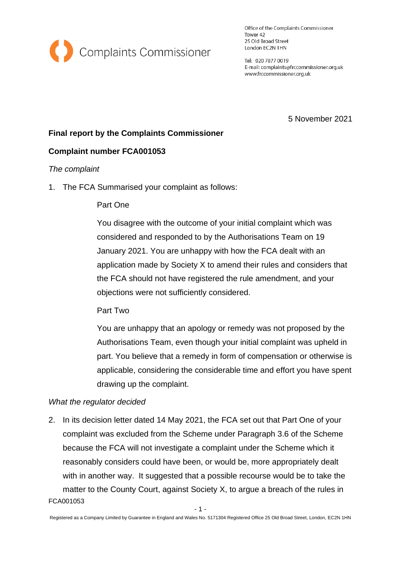

Office of the Complaints Commissioner Tower 42 25 Old Broad Street London EC2N 1HN

Tel: 020 7877 0019 E-mail: complaints@frccommissioner.org.uk www.frccommissioner.org.uk

5 November 2021

# **Final report by the Complaints Commissioner**

# **Complaint number FCA001053**

## *The complaint*

1. The FCA Summarised your complaint as follows:

## Part One

You disagree with the outcome of your initial complaint which was considered and responded to by the Authorisations Team on 19 January 2021. You are unhappy with how the FCA dealt with an application made by Society X to amend their rules and considers that the FCA should not have registered the rule amendment, and your objections were not sufficiently considered.

Part Two

You are unhappy that an apology or remedy was not proposed by the Authorisations Team, even though your initial complaint was upheld in part. You believe that a remedy in form of compensation or otherwise is applicable, considering the considerable time and effort you have spent drawing up the complaint.

## *What the regulator decided*

FCA001053 2. In its decision letter dated 14 May 2021, the FCA set out that Part One of your complaint was excluded from the Scheme under Paragraph 3.6 of the Scheme because the FCA will not investigate a complaint under the Scheme which it reasonably considers could have been, or would be, more appropriately dealt with in another way. It suggested that a possible recourse would be to take the matter to the County Court, against Society X, to argue a breach of the rules in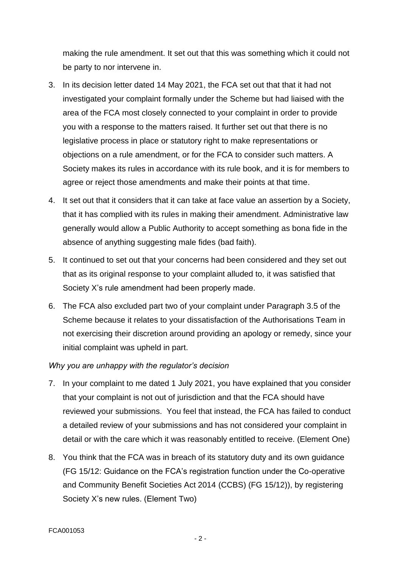making the rule amendment. It set out that this was something which it could not be party to nor intervene in.

- 3. In its decision letter dated 14 May 2021, the FCA set out that that it had not investigated your complaint formally under the Scheme but had liaised with the area of the FCA most closely connected to your complaint in order to provide you with a response to the matters raised. It further set out that there is no legislative process in place or statutory right to make representations or objections on a rule amendment, or for the FCA to consider such matters. A Society makes its rules in accordance with its rule book, and it is for members to agree or reject those amendments and make their points at that time.
- 4. It set out that it considers that it can take at face value an assertion by a Society, that it has complied with its rules in making their amendment. Administrative law generally would allow a Public Authority to accept something as bona fide in the absence of anything suggesting male fides (bad faith).
- 5. It continued to set out that your concerns had been considered and they set out that as its original response to your complaint alluded to, it was satisfied that Society X's rule amendment had been properly made.
- 6. The FCA also excluded part two of your complaint under Paragraph 3.5 of the Scheme because it relates to your dissatisfaction of the Authorisations Team in not exercising their discretion around providing an apology or remedy, since your initial complaint was upheld in part.

# *Why you are unhappy with the regulator's decision*

- 7. In your complaint to me dated 1 July 2021, you have explained that you consider that your complaint is not out of jurisdiction and that the FCA should have reviewed your submissions. You feel that instead, the FCA has failed to conduct a detailed review of your submissions and has not considered your complaint in detail or with the care which it was reasonably entitled to receive. (Element One)
- 8. You think that the FCA was in breach of its statutory duty and its own guidance (FG 15/12: Guidance on the FCA's registration function under the Co-operative and Community Benefit Societies Act 2014 (CCBS) (FG 15/12)), by registering Society X's new rules. (Element Two)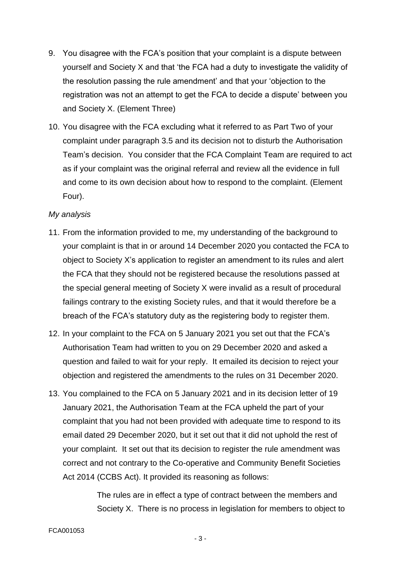- 9. You disagree with the FCA's position that your complaint is a dispute between yourself and Society X and that 'the FCA had a duty to investigate the validity of the resolution passing the rule amendment' and that your 'objection to the registration was not an attempt to get the FCA to decide a dispute' between you and Society X. (Element Three)
- 10. You disagree with the FCA excluding what it referred to as Part Two of your complaint under paragraph 3.5 and its decision not to disturb the Authorisation Team's decision. You consider that the FCA Complaint Team are required to act as if your complaint was the original referral and review all the evidence in full and come to its own decision about how to respond to the complaint. (Element Four).

## *My analysis*

- 11. From the information provided to me, my understanding of the background to your complaint is that in or around 14 December 2020 you contacted the FCA to object to Society X's application to register an amendment to its rules and alert the FCA that they should not be registered because the resolutions passed at the special general meeting of Society X were invalid as a result of procedural failings contrary to the existing Society rules, and that it would therefore be a breach of the FCA's statutory duty as the registering body to register them.
- 12. In your complaint to the FCA on 5 January 2021 you set out that the FCA's Authorisation Team had written to you on 29 December 2020 and asked a question and failed to wait for your reply. It emailed its decision to reject your objection and registered the amendments to the rules on 31 December 2020.
- 13. You complained to the FCA on 5 January 2021 and in its decision letter of 19 January 2021, the Authorisation Team at the FCA upheld the part of your complaint that you had not been provided with adequate time to respond to its email dated 29 December 2020, but it set out that it did not uphold the rest of your complaint. It set out that its decision to register the rule amendment was correct and not contrary to the Co-operative and Community Benefit Societies Act 2014 (CCBS Act). It provided its reasoning as follows:

The rules are in effect a type of contract between the members and Society X. There is no process in legislation for members to object to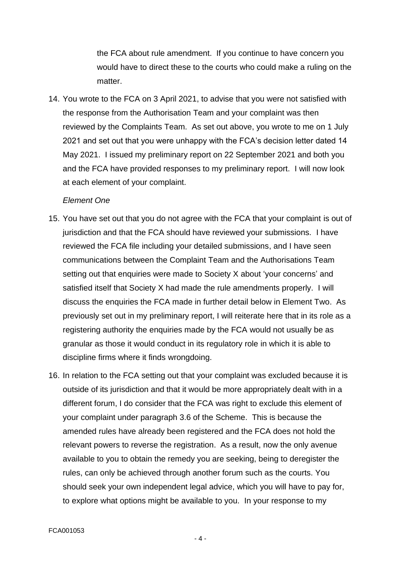the FCA about rule amendment. If you continue to have concern you would have to direct these to the courts who could make a ruling on the matter

14. You wrote to the FCA on 3 April 2021, to advise that you were not satisfied with the response from the Authorisation Team and your complaint was then reviewed by the Complaints Team. As set out above, you wrote to me on 1 July 2021 and set out that you were unhappy with the FCA's decision letter dated 14 May 2021. I issued my preliminary report on 22 September 2021 and both you and the FCA have provided responses to my preliminary report. I will now look at each element of your complaint.

#### *Element One*

- 15. You have set out that you do not agree with the FCA that your complaint is out of jurisdiction and that the FCA should have reviewed your submissions. I have reviewed the FCA file including your detailed submissions, and I have seen communications between the Complaint Team and the Authorisations Team setting out that enquiries were made to Society X about 'your concerns' and satisfied itself that Society X had made the rule amendments properly. I will discuss the enquiries the FCA made in further detail below in Element Two. As previously set out in my preliminary report, I will reiterate here that in its role as a registering authority the enquiries made by the FCA would not usually be as granular as those it would conduct in its regulatory role in which it is able to discipline firms where it finds wrongdoing.
- 16. In relation to the FCA setting out that your complaint was excluded because it is outside of its jurisdiction and that it would be more appropriately dealt with in a different forum, I do consider that the FCA was right to exclude this element of your complaint under paragraph 3.6 of the Scheme. This is because the amended rules have already been registered and the FCA does not hold the relevant powers to reverse the registration. As a result, now the only avenue available to you to obtain the remedy you are seeking, being to deregister the rules, can only be achieved through another forum such as the courts. You should seek your own independent legal advice, which you will have to pay for, to explore what options might be available to you. In your response to my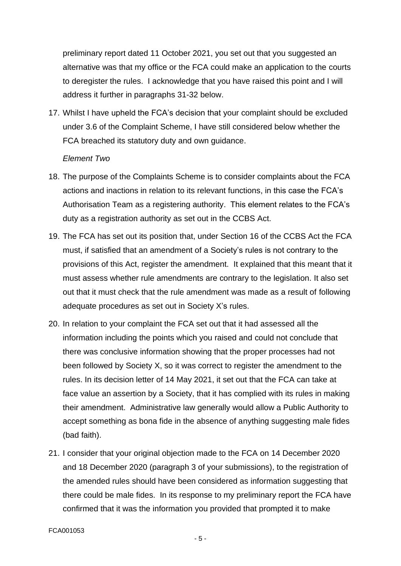preliminary report dated 11 October 2021, you set out that you suggested an alternative was that my office or the FCA could make an application to the courts to deregister the rules. I acknowledge that you have raised this point and I will address it further in paragraphs 31-32 below.

17. Whilst I have upheld the FCA's decision that your complaint should be excluded under 3.6 of the Complaint Scheme, I have still considered below whether the FCA breached its statutory duty and own guidance.

#### *Element Two*

- 18. The purpose of the Complaints Scheme is to consider complaints about the FCA actions and inactions in relation to its relevant functions, in this case the FCA's Authorisation Team as a registering authority. This element relates to the FCA's duty as a registration authority as set out in the CCBS Act.
- 19. The FCA has set out its position that, under Section 16 of the CCBS Act the FCA must, if satisfied that an amendment of a Society's rules is not contrary to the provisions of this Act, register the amendment. It explained that this meant that it must assess whether rule amendments are contrary to the legislation. It also set out that it must check that the rule amendment was made as a result of following adequate procedures as set out in Society X's rules.
- 20. In relation to your complaint the FCA set out that it had assessed all the information including the points which you raised and could not conclude that there was conclusive information showing that the proper processes had not been followed by Society X, so it was correct to register the amendment to the rules. In its decision letter of 14 May 2021, it set out that the FCA can take at face value an assertion by a Society, that it has complied with its rules in making their amendment. Administrative law generally would allow a Public Authority to accept something as bona fide in the absence of anything suggesting male fides (bad faith).
- 21. I consider that your original objection made to the FCA on 14 December 2020 and 18 December 2020 (paragraph 3 of your submissions), to the registration of the amended rules should have been considered as information suggesting that there could be male fides. In its response to my preliminary report the FCA have confirmed that it was the information you provided that prompted it to make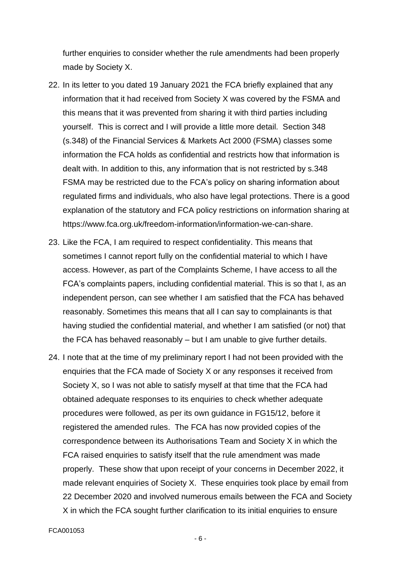further enquiries to consider whether the rule amendments had been properly made by Society X.

- 22. In its letter to you dated 19 January 2021 the FCA briefly explained that any information that it had received from Society X was covered by the FSMA and this means that it was prevented from sharing it with third parties including yourself. This is correct and I will provide a little more detail. Section 348 (s.348) of the Financial Services & Markets Act 2000 (FSMA) classes some information the FCA holds as confidential and restricts how that information is dealt with. In addition to this, any information that is not restricted by s.348 FSMA may be restricted due to the FCA's policy on sharing information about regulated firms and individuals, who also have legal protections. There is a good explanation of the statutory and FCA policy restrictions on information sharing at https://www.fca.org.uk/freedom-information/information-we-can-share.
- 23. Like the FCA, I am required to respect confidentiality. This means that sometimes I cannot report fully on the confidential material to which I have access. However, as part of the Complaints Scheme, I have access to all the FCA's complaints papers, including confidential material. This is so that I, as an independent person, can see whether I am satisfied that the FCA has behaved reasonably. Sometimes this means that all I can say to complainants is that having studied the confidential material, and whether I am satisfied (or not) that the FCA has behaved reasonably – but I am unable to give further details.
- 24. I note that at the time of my preliminary report I had not been provided with the enquiries that the FCA made of Society X or any responses it received from Society X, so I was not able to satisfy myself at that time that the FCA had obtained adequate responses to its enquiries to check whether adequate procedures were followed, as per its own guidance in FG15/12, before it registered the amended rules. The FCA has now provided copies of the correspondence between its Authorisations Team and Society X in which the FCA raised enquiries to satisfy itself that the rule amendment was made properly. These show that upon receipt of your concerns in December 2022, it made relevant enquiries of Society X. These enquiries took place by email from 22 December 2020 and involved numerous emails between the FCA and Society X in which the FCA sought further clarification to its initial enquiries to ensure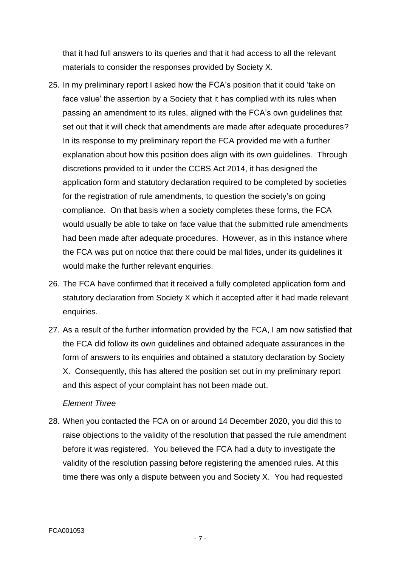that it had full answers to its queries and that it had access to all the relevant materials to consider the responses provided by Society X.

- 25. In my preliminary report I asked how the FCA's position that it could 'take on face value' the assertion by a Society that it has complied with its rules when passing an amendment to its rules, aligned with the FCA's own guidelines that set out that it will check that amendments are made after adequate procedures? In its response to my preliminary report the FCA provided me with a further explanation about how this position does align with its own guidelines. Through discretions provided to it under the CCBS Act 2014, it has designed the application form and statutory declaration required to be completed by societies for the registration of rule amendments, to question the society's on going compliance. On that basis when a society completes these forms, the FCA would usually be able to take on face value that the submitted rule amendments had been made after adequate procedures. However, as in this instance where the FCA was put on notice that there could be mal fides, under its guidelines it would make the further relevant enquiries.
- 26. The FCA have confirmed that it received a fully completed application form and statutory declaration from Society X which it accepted after it had made relevant enquiries.
- 27. As a result of the further information provided by the FCA, I am now satisfied that the FCA did follow its own guidelines and obtained adequate assurances in the form of answers to its enquiries and obtained a statutory declaration by Society X. Consequently, this has altered the position set out in my preliminary report and this aspect of your complaint has not been made out.

#### *Element Three*

28. When you contacted the FCA on or around 14 December 2020, you did this to raise objections to the validity of the resolution that passed the rule amendment before it was registered. You believed the FCA had a duty to investigate the validity of the resolution passing before registering the amended rules. At this time there was only a dispute between you and Society X. You had requested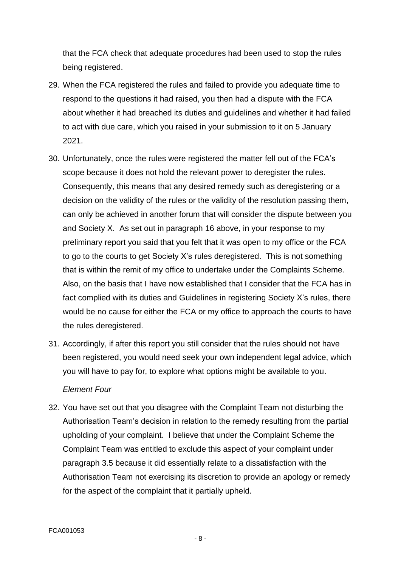that the FCA check that adequate procedures had been used to stop the rules being registered.

- 29. When the FCA registered the rules and failed to provide you adequate time to respond to the questions it had raised, you then had a dispute with the FCA about whether it had breached its duties and guidelines and whether it had failed to act with due care, which you raised in your submission to it on 5 January 2021.
- 30. Unfortunately, once the rules were registered the matter fell out of the FCA's scope because it does not hold the relevant power to deregister the rules. Consequently, this means that any desired remedy such as deregistering or a decision on the validity of the rules or the validity of the resolution passing them, can only be achieved in another forum that will consider the dispute between you and Society X. As set out in paragraph 16 above, in your response to my preliminary report you said that you felt that it was open to my office or the FCA to go to the courts to get Society X's rules deregistered. This is not something that is within the remit of my office to undertake under the Complaints Scheme. Also, on the basis that I have now established that I consider that the FCA has in fact complied with its duties and Guidelines in registering Society X's rules, there would be no cause for either the FCA or my office to approach the courts to have the rules deregistered.
- 31. Accordingly, if after this report you still consider that the rules should not have been registered, you would need seek your own independent legal advice, which you will have to pay for, to explore what options might be available to you. *Element Four*
- 32. You have set out that you disagree with the Complaint Team not disturbing the Authorisation Team's decision in relation to the remedy resulting from the partial upholding of your complaint. I believe that under the Complaint Scheme the Complaint Team was entitled to exclude this aspect of your complaint under paragraph 3.5 because it did essentially relate to a dissatisfaction with the Authorisation Team not exercising its discretion to provide an apology or remedy for the aspect of the complaint that it partially upheld.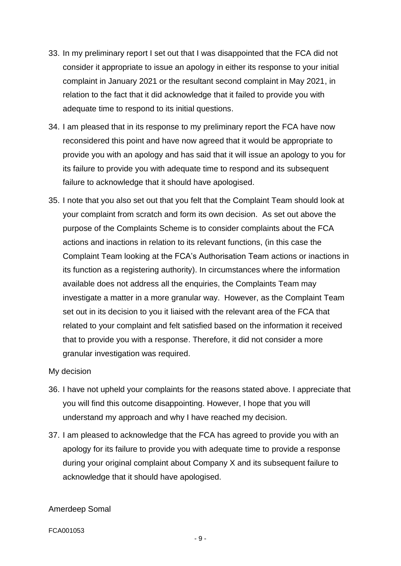- 33. In my preliminary report I set out that I was disappointed that the FCA did not consider it appropriate to issue an apology in either its response to your initial complaint in January 2021 or the resultant second complaint in May 2021, in relation to the fact that it did acknowledge that it failed to provide you with adequate time to respond to its initial questions.
- 34. I am pleased that in its response to my preliminary report the FCA have now reconsidered this point and have now agreed that it would be appropriate to provide you with an apology and has said that it will issue an apology to you for its failure to provide you with adequate time to respond and its subsequent failure to acknowledge that it should have apologised.
- 35. I note that you also set out that you felt that the Complaint Team should look at your complaint from scratch and form its own decision. As set out above the purpose of the Complaints Scheme is to consider complaints about the FCA actions and inactions in relation to its relevant functions, (in this case the Complaint Team looking at the FCA's Authorisation Team actions or inactions in its function as a registering authority). In circumstances where the information available does not address all the enquiries, the Complaints Team may investigate a matter in a more granular way. However, as the Complaint Team set out in its decision to you it liaised with the relevant area of the FCA that related to your complaint and felt satisfied based on the information it received that to provide you with a response. Therefore, it did not consider a more granular investigation was required.

#### My decision

- 36. I have not upheld your complaints for the reasons stated above. I appreciate that you will find this outcome disappointing. However, I hope that you will understand my approach and why I have reached my decision.
- 37. I am pleased to acknowledge that the FCA has agreed to provide you with an apology for its failure to provide you with adequate time to provide a response during your original complaint about Company X and its subsequent failure to acknowledge that it should have apologised.

#### Amerdeep Somal

FCA001053